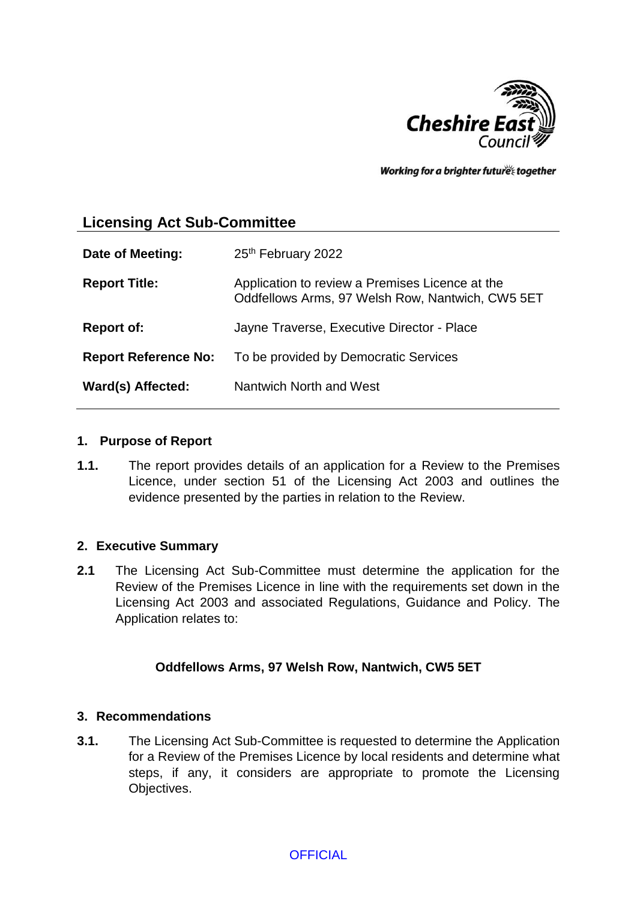

Working for a brighter future together

# **Licensing Act Sub-Committee**

| Date of Meeting:            | 25th February 2022                                                                                  |
|-----------------------------|-----------------------------------------------------------------------------------------------------|
| <b>Report Title:</b>        | Application to review a Premises Licence at the<br>Oddfellows Arms, 97 Welsh Row, Nantwich, CW5 5ET |
| <b>Report of:</b>           | Jayne Traverse, Executive Director - Place                                                          |
| <b>Report Reference No:</b> | To be provided by Democratic Services                                                               |
| Ward(s) Affected:           | Nantwich North and West                                                                             |

#### **1. Purpose of Report**

**1.1.** The report provides details of an application for a Review to the Premises Licence, under section 51 of the Licensing Act 2003 and outlines the evidence presented by the parties in relation to the Review.

#### **2. Executive Summary**

**2.1** The Licensing Act Sub-Committee must determine the application for the Review of the Premises Licence in line with the requirements set down in the Licensing Act 2003 and associated Regulations, Guidance and Policy. The Application relates to:

#### **Oddfellows Arms, 97 Welsh Row, Nantwich, CW5 5ET**

#### **3. Recommendations**

**3.1.** The Licensing Act Sub-Committee is requested to determine the Application for a Review of the Premises Licence by local residents and determine what steps, if any, it considers are appropriate to promote the Licensing Objectives.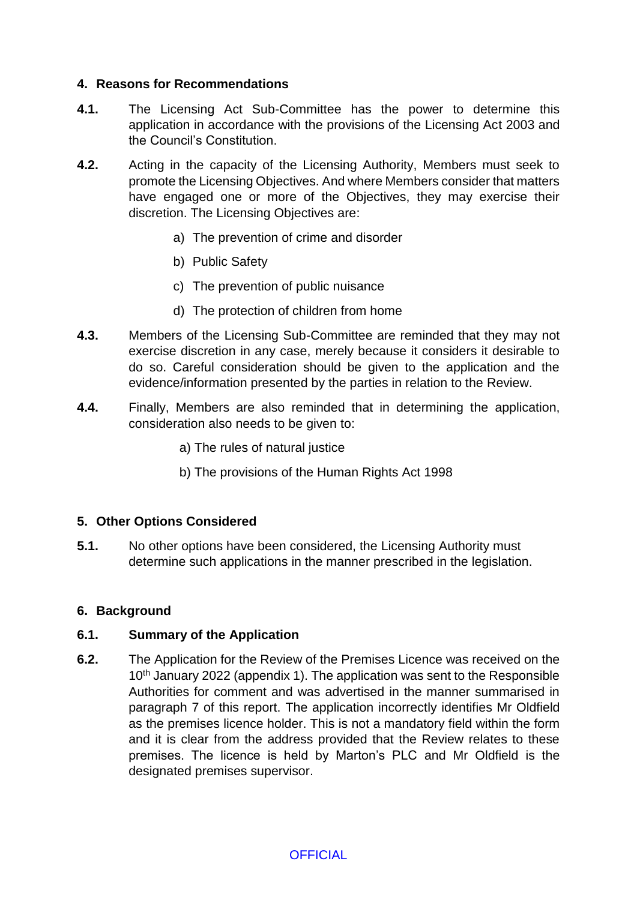#### **4. Reasons for Recommendations**

- **4.1.** The Licensing Act Sub-Committee has the power to determine this application in accordance with the provisions of the Licensing Act 2003 and the Council's Constitution.
- **4.2.** Acting in the capacity of the Licensing Authority, Members must seek to promote the Licensing Objectives. And where Members consider that matters have engaged one or more of the Objectives, they may exercise their discretion. The Licensing Objectives are:
	- a) The prevention of crime and disorder
	- b) Public Safety
	- c) The prevention of public nuisance
	- d) The protection of children from home
- **4.3.** Members of the Licensing Sub-Committee are reminded that they may not exercise discretion in any case, merely because it considers it desirable to do so. Careful consideration should be given to the application and the evidence/information presented by the parties in relation to the Review.
- **4.4.** Finally, Members are also reminded that in determining the application, consideration also needs to be given to:
	- a) The rules of natural justice
	- b) The provisions of the Human Rights Act 1998

#### **5. Other Options Considered**

**5.1.** No other options have been considered, the Licensing Authority must determine such applications in the manner prescribed in the legislation.

#### **6. Background**

#### **6.1. Summary of the Application**

**6.2.** The Application for the Review of the Premises Licence was received on the 10<sup>th</sup> January 2022 (appendix 1). The application was sent to the Responsible Authorities for comment and was advertised in the manner summarised in paragraph 7 of this report. The application incorrectly identifies Mr Oldfield as the premises licence holder. This is not a mandatory field within the form and it is clear from the address provided that the Review relates to these premises. The licence is held by Marton's PLC and Mr Oldfield is the designated premises supervisor.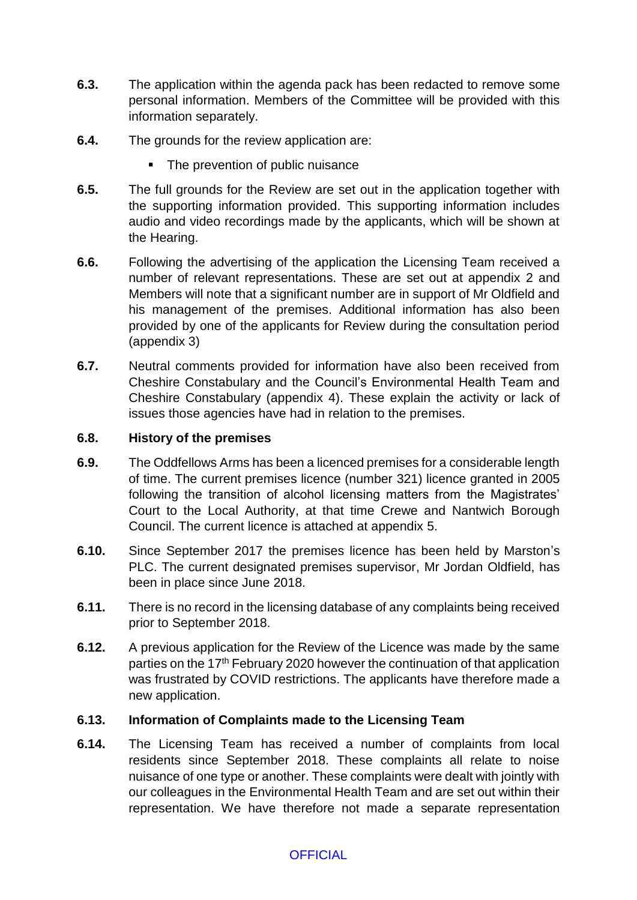- **6.3.** The application within the agenda pack has been redacted to remove some personal information. Members of the Committee will be provided with this information separately.
- **6.4.** The grounds for the review application are:
	- The prevention of public nuisance
- **6.5.** The full grounds for the Review are set out in the application together with the supporting information provided. This supporting information includes audio and video recordings made by the applicants, which will be shown at the Hearing.
- **6.6.** Following the advertising of the application the Licensing Team received a number of relevant representations. These are set out at appendix 2 and Members will note that a significant number are in support of Mr Oldfield and his management of the premises. Additional information has also been provided by one of the applicants for Review during the consultation period (appendix 3)
- **6.7.** Neutral comments provided for information have also been received from Cheshire Constabulary and the Council's Environmental Health Team and Cheshire Constabulary (appendix 4). These explain the activity or lack of issues those agencies have had in relation to the premises.

#### **6.8. History of the premises**

- **6.9.** The Oddfellows Arms has been a licenced premises for a considerable length of time. The current premises licence (number 321) licence granted in 2005 following the transition of alcohol licensing matters from the Magistrates' Court to the Local Authority, at that time Crewe and Nantwich Borough Council. The current licence is attached at appendix 5.
- **6.10.** Since September 2017 the premises licence has been held by Marston's PLC. The current designated premises supervisor, Mr Jordan Oldfield, has been in place since June 2018.
- **6.11.** There is no record in the licensing database of any complaints being received prior to September 2018.
- **6.12.** A previous application for the Review of the Licence was made by the same parties on the 17th February 2020 however the continuation of that application was frustrated by COVID restrictions. The applicants have therefore made a new application.

#### **6.13. Information of Complaints made to the Licensing Team**

**6.14.** The Licensing Team has received a number of complaints from local residents since September 2018. These complaints all relate to noise nuisance of one type or another. These complaints were dealt with jointly with our colleagues in the Environmental Health Team and are set out within their representation. We have therefore not made a separate representation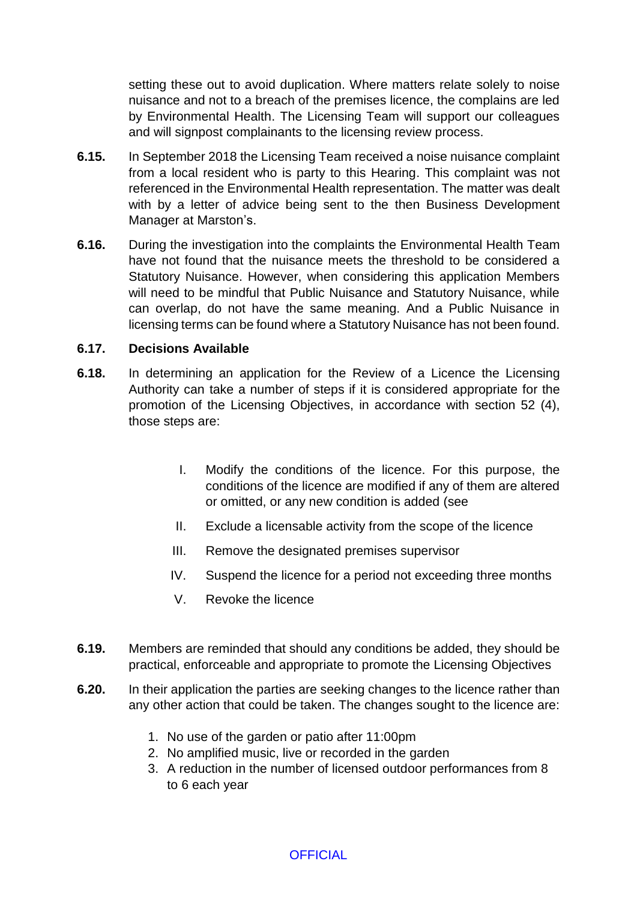setting these out to avoid duplication. Where matters relate solely to noise nuisance and not to a breach of the premises licence, the complains are led by Environmental Health. The Licensing Team will support our colleagues and will signpost complainants to the licensing review process.

- **6.15.** In September 2018 the Licensing Team received a noise nuisance complaint from a local resident who is party to this Hearing. This complaint was not referenced in the Environmental Health representation. The matter was dealt with by a letter of advice being sent to the then Business Development Manager at Marston's.
- **6.16.** During the investigation into the complaints the Environmental Health Team have not found that the nuisance meets the threshold to be considered a Statutory Nuisance. However, when considering this application Members will need to be mindful that Public Nuisance and Statutory Nuisance, while can overlap, do not have the same meaning. And a Public Nuisance in licensing terms can be found where a Statutory Nuisance has not been found.

#### **6.17. Decisions Available**

- **6.18.** In determining an application for the Review of a Licence the Licensing Authority can take a number of steps if it is considered appropriate for the promotion of the Licensing Objectives, in accordance with section 52 (4), those steps are:
	- I. Modify the conditions of the licence. For this purpose, the conditions of the licence are modified if any of them are altered or omitted, or any new condition is added (see
	- II. Exclude a licensable activity from the scope of the licence
	- III. Remove the designated premises supervisor
	- IV. Suspend the licence for a period not exceeding three months
	- V. Revoke the licence
- **6.19.** Members are reminded that should any conditions be added, they should be practical, enforceable and appropriate to promote the Licensing Objectives
- **6.20.** In their application the parties are seeking changes to the licence rather than any other action that could be taken. The changes sought to the licence are:
	- 1. No use of the garden or patio after 11:00pm
	- 2. No amplified music, live or recorded in the garden
	- 3. A reduction in the number of licensed outdoor performances from 8 to 6 each year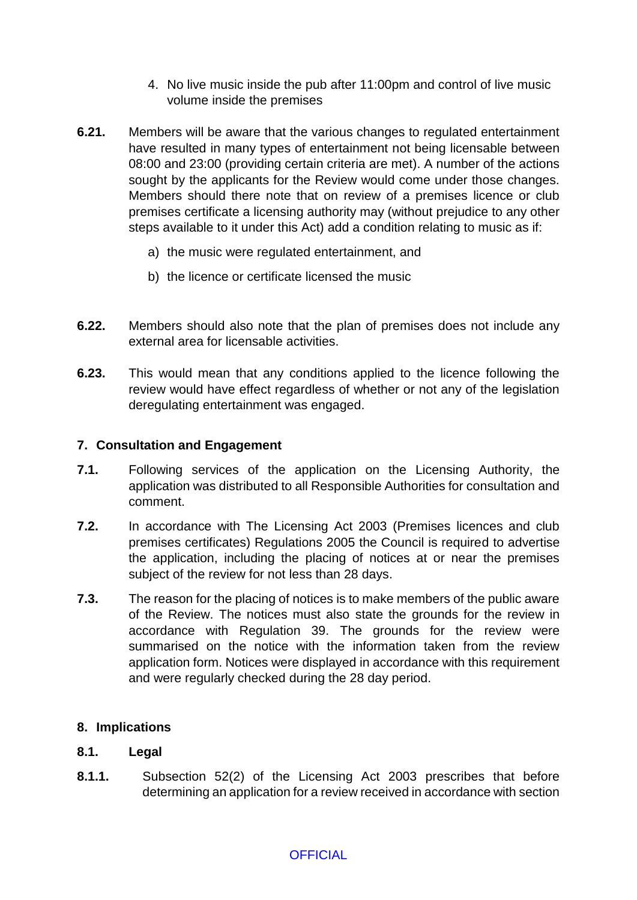- 4. No live music inside the pub after 11:00pm and control of live music volume inside the premises
- **6.21.** Members will be aware that the various changes to regulated entertainment have resulted in many types of entertainment not being licensable between 08:00 and 23:00 (providing certain criteria are met). A number of the actions sought by the applicants for the Review would come under those changes. Members should there note that on review of a premises licence or club premises certificate a licensing authority may (without prejudice to any other steps available to it under this Act) add a condition relating to music as if:
	- a) the music were regulated entertainment, and
	- b) the licence or certificate licensed the music
- **6.22.** Members should also note that the plan of premises does not include any external area for licensable activities.
- **6.23.** This would mean that any conditions applied to the licence following the review would have effect regardless of whether or not any of the legislation deregulating entertainment was engaged.

#### **7. Consultation and Engagement**

- **7.1.** Following services of the application on the Licensing Authority, the application was distributed to all Responsible Authorities for consultation and comment.
- **7.2.** In accordance with The Licensing Act 2003 (Premises licences and club premises certificates) Regulations 2005 the Council is required to advertise the application, including the placing of notices at or near the premises subject of the review for not less than 28 days.
- **7.3.** The reason for the placing of notices is to make members of the public aware of the Review. The notices must also state the grounds for the review in accordance with Regulation 39. The grounds for the review were summarised on the notice with the information taken from the review application form. Notices were displayed in accordance with this requirement and were regularly checked during the 28 day period.

#### **8. Implications**

#### **8.1. Legal**

**8.1.1.** Subsection 52(2) of the Licensing Act 2003 prescribes that before determining an application for a review received in accordance with section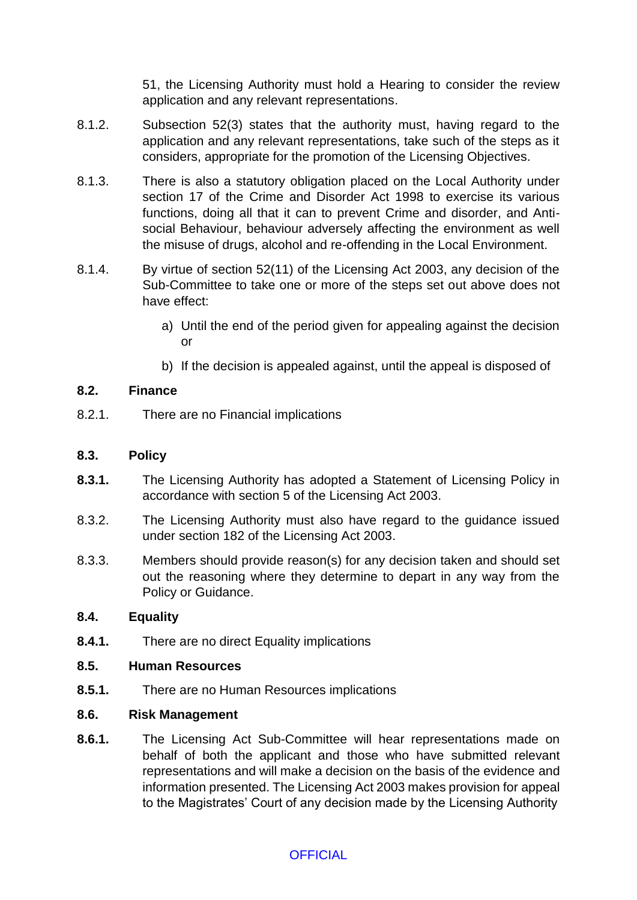51, the Licensing Authority must hold a Hearing to consider the review application and any relevant representations.

- 8.1.2. Subsection 52(3) states that the authority must, having regard to the application and any relevant representations, take such of the steps as it considers, appropriate for the promotion of the Licensing Objectives.
- 8.1.3. There is also a statutory obligation placed on the Local Authority under section 17 of the Crime and Disorder Act 1998 to exercise its various functions, doing all that it can to prevent Crime and disorder, and Antisocial Behaviour, behaviour adversely affecting the environment as well the misuse of drugs, alcohol and re-offending in the Local Environment.
- 8.1.4. By virtue of section 52(11) of the Licensing Act 2003, any decision of the Sub-Committee to take one or more of the steps set out above does not have effect:
	- a) Until the end of the period given for appealing against the decision or
	- b) If the decision is appealed against, until the appeal is disposed of

## **8.2. Finance**

8.2.1. There are no Financial implications

## **8.3. Policy**

- **8.3.1.** The Licensing Authority has adopted a Statement of Licensing Policy in accordance with section 5 of the Licensing Act 2003.
- 8.3.2. The Licensing Authority must also have regard to the guidance issued under section 182 of the Licensing Act 2003.
- 8.3.3. Members should provide reason(s) for any decision taken and should set out the reasoning where they determine to depart in any way from the Policy or Guidance.

## **8.4. Equality**

**8.4.1.** There are no direct Equality implications

## **8.5. Human Resources**

**8.5.1.** There are no Human Resources implications

## **8.6. Risk Management**

**8.6.1.** The Licensing Act Sub-Committee will hear representations made on behalf of both the applicant and those who have submitted relevant representations and will make a decision on the basis of the evidence and information presented. The Licensing Act 2003 makes provision for appeal to the Magistrates' Court of any decision made by the Licensing Authority